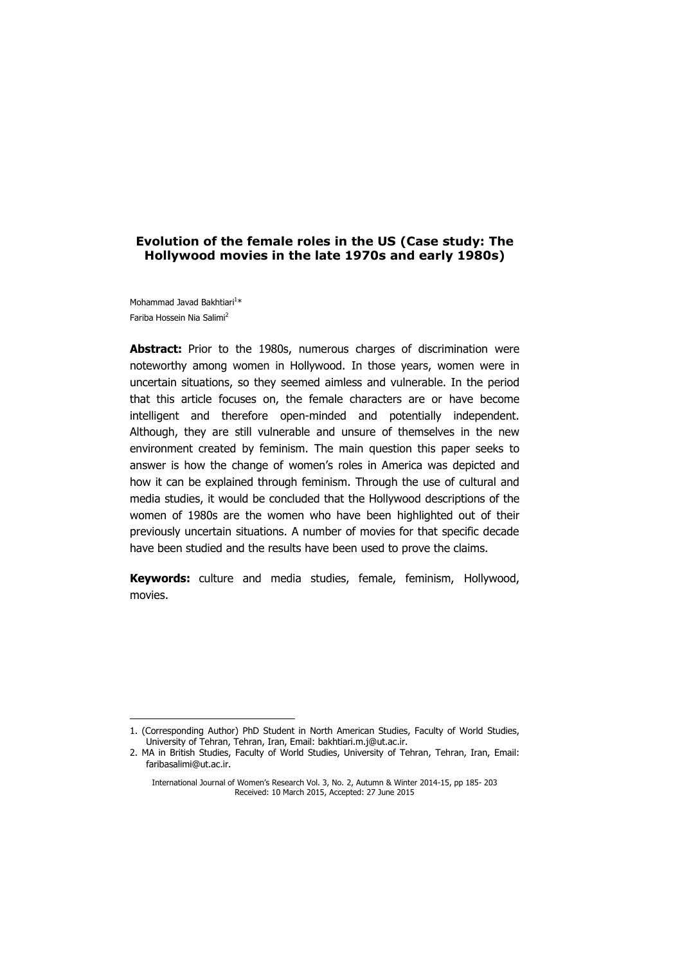# **Evolution of the female roles in the US (Case study: The Hollywood movies in the late 1970s and early 1980s)**

Mohammad Javad Bakhtiari<sup>1</sup>\* Fariba Hossein Nia Salimi<sup>2</sup>

Abstract: Prior to the 1980s, numerous charges of discrimination were noteworthy among women in Hollywood. In those years, women were in uncertain situations, so they seemed aimless and vulnerable. In the period that this article focuses on, the female characters are or have become intelligent and therefore open-minded and potentially independent. Although, they are still vulnerable and unsure of themselves in the new environment created by feminism. The main question this paper seeks to answer is how the change of women's roles in America was depicted and how it can be explained through feminism. Through the use of cultural and media studies, it would be concluded that the Hollywood descriptions of the women of 1980s are the women who have been highlighted out of their previously uncertain situations. A number of movies for that specific decade have been studied and the results have been used to prove the claims.

**Keywords:** culture and media studies, female, feminism, Hollywood, movies.

 $\overline{\phantom{a}}$ 1. (Corresponding Author) PhD Student in North American Studies, Faculty of World Studies, University of Tehran, Tehran, Iran, Email: bakhtiari.m.j@ut.ac.ir.

<sup>2.</sup> MA in British Studies, Faculty of World Studies, University of Tehran, Tehran, Iran, Email: faribasalimi@ut.ac.ir.

International Journal of Women's Research Vol. 3, No. 2, Autumn & Winter 2014-15, pp 185- 203 Received: 10 March 2015, Accepted: 27 June 2015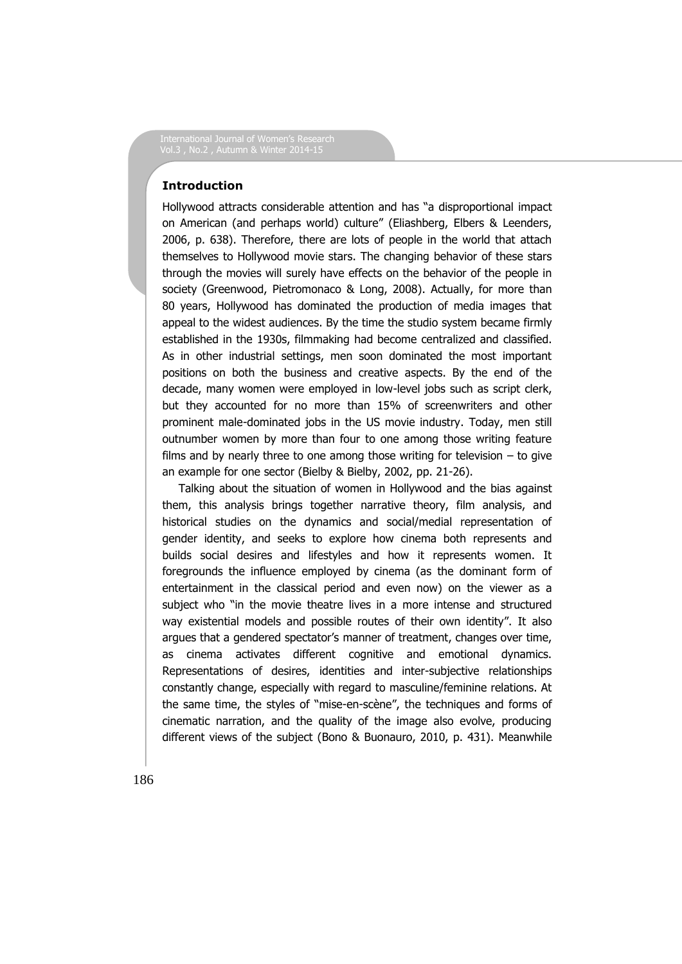## **Introduction**

Hollywood attracts considerable attention and has "a disproportional impact on American (and perhaps world) culture" (Eliashberg, Elbers & Leenders, 2006, p. 638). Therefore, there are lots of people in the world that attach themselves to Hollywood movie stars. The changing behavior of these stars through the movies will surely have effects on the behavior of the people in society (Greenwood, Pietromonaco & Long, 2008). Actually, for more than 80 years, Hollywood has dominated the production of media images that appeal to the widest audiences. By the time the studio system became firmly established in the 1930s, filmmaking had become centralized and classified. As in other industrial settings, men soon dominated the most important positions on both the business and creative aspects. By the end of the decade, many women were employed in low-level jobs such as script clerk, but they accounted for no more than 15% of screenwriters and other prominent male-dominated jobs in the US movie industry. Today, men still outnumber women by more than four to one among those writing feature films and by nearly three to one among those writing for television  $-$  to give an example for one sector (Bielby & Bielby, 2002, pp. 21-26).

Talking about the situation of women in Hollywood and the bias against them, this analysis brings together narrative theory, film analysis, and historical studies on the dynamics and social/medial representation of gender identity, and seeks to explore how cinema both represents and builds social desires and lifestyles and how it represents women. It foregrounds the influence employed by cinema (as the dominant form of entertainment in the classical period and even now) on the viewer as a subject who "in the movie theatre lives in a more intense and structured way existential models and possible routes of their own identity". It also argues that a gendered spectator's manner of treatment, changes over time, as cinema activates different cognitive and emotional dynamics. Representations of desires, identities and inter-subjective relationships constantly change, especially with regard to masculine/feminine relations. At the same time, the styles of "mise-en-scène", the techniques and forms of cinematic narration, and the quality of the image also evolve, producing different views of the subject (Bono & Buonauro, 2010, p. 431). Meanwhile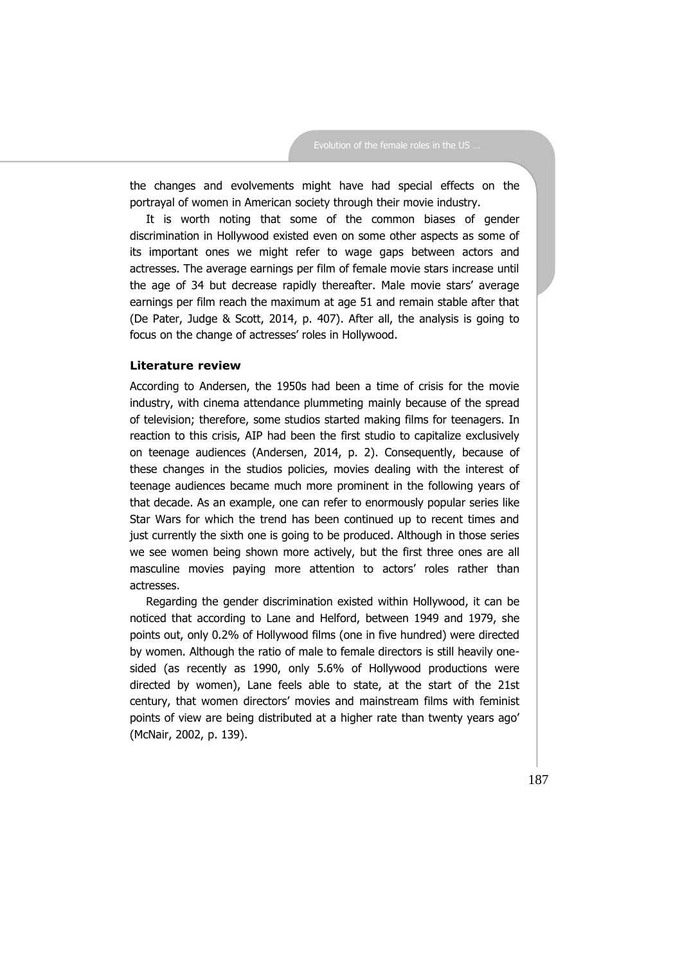the changes and evolvements might have had special effects on the portrayal of women in American society through their movie industry.

It is worth noting that some of the common biases of gender discrimination in Hollywood existed even on some other aspects as some of its important ones we might refer to wage gaps between actors and actresses. The average earnings per film of female movie stars increase until the age of 34 but decrease rapidly thereafter. Male movie stars' average earnings per film reach the maximum at age 51 and remain stable after that (De Pater, Judge & Scott, 2014, p. 407). After all, the analysis is going to focus on the change of actresses' roles in Hollywood.

#### **Literature review**

According to Andersen, the 1950s had been a time of crisis for the movie industry, with cinema attendance plummeting mainly because of the spread of television; therefore, some studios started making films for teenagers. In reaction to this crisis, AIP had been the first studio to capitalize exclusively on teenage audiences (Andersen, 2014, p. 2). Consequently, because of these changes in the studios policies, movies dealing with the interest of teenage audiences became much more prominent in the following years of that decade. As an example, one can refer to enormously popular series like Star Wars for which the trend has been continued up to recent times and just currently the sixth one is going to be produced. Although in those series we see women being shown more actively, but the first three ones are all masculine movies paying more attention to actors' roles rather than actresses.

Regarding the gender discrimination existed within Hollywood, it can be noticed that according to Lane and Helford, between 1949 and 1979, she points out, only 0.2% of Hollywood films (one in five hundred) were directed by women. Although the ratio of male to female directors is still heavily onesided (as recently as 1990, only 5.6% of Hollywood productions were directed by women), Lane feels able to state, at the start of the 21st century, that women directors' movies and mainstream films with feminist points of view are being distributed at a higher rate than twenty years ago' (McNair, 2002, p. 139).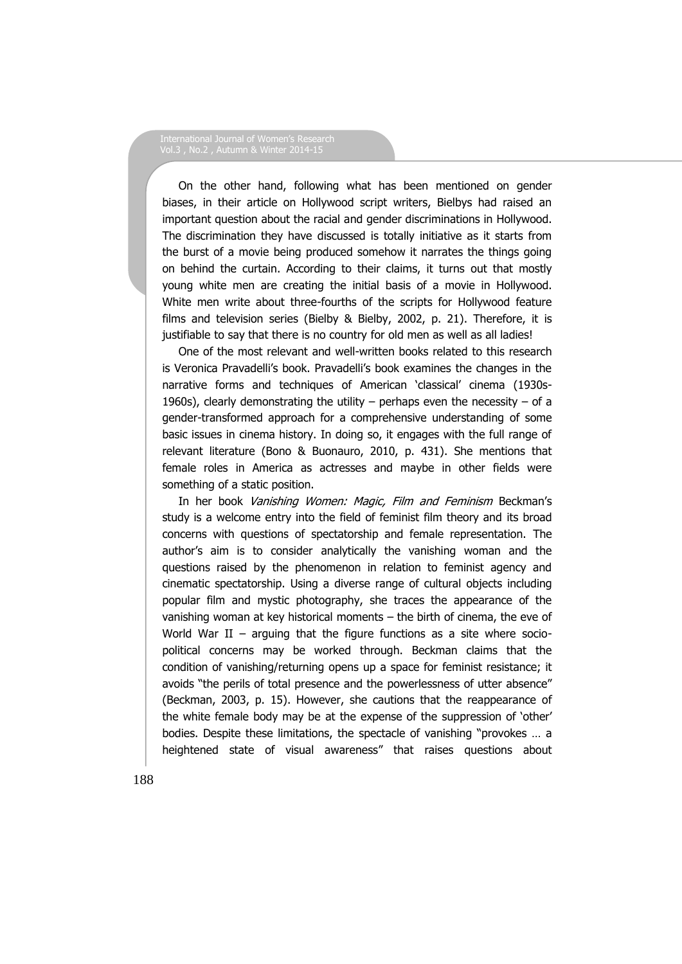On the other hand, following what has been mentioned on gender biases, in their article on Hollywood script writers, Bielbys had raised an important question about the racial and gender discriminations in Hollywood. The discrimination they have discussed is totally initiative as it starts from the burst of a movie being produced somehow it narrates the things going on behind the curtain. According to their claims, it turns out that mostly young white men are creating the initial basis of a movie in Hollywood. White men write about three-fourths of the scripts for Hollywood feature films and television series (Bielby & Bielby, 2002, p. 21). Therefore, it is justifiable to say that there is no country for old men as well as all ladies!

One of the most relevant and well-written books related to this research is Veronica Pravadelli's book. Pravadelli's book examines the changes in the narrative forms and techniques of American 'classical' cinema (1930s-1960s), clearly demonstrating the utility – perhaps even the necessity – of a gender-transformed approach for a comprehensive understanding of some basic issues in cinema history. In doing so, it engages with the full range of relevant literature (Bono & Buonauro, 2010, p. 431). She mentions that female roles in America as actresses and maybe in other fields were something of a static position.

In her book Vanishing Women: Magic, Film and Feminism Beckman's study is a welcome entry into the field of feminist film theory and its broad concerns with questions of spectatorship and female representation. The author's aim is to consider analytically the vanishing woman and the questions raised by the phenomenon in relation to feminist agency and cinematic spectatorship. Using a diverse range of cultural objects including popular film and mystic photography, she traces the appearance of the vanishing woman at key historical moments – the birth of cinema, the eve of World War II – arguing that the figure functions as a site where sociopolitical concerns may be worked through. Beckman claims that the condition of vanishing/returning opens up a space for feminist resistance; it avoids "the perils of total presence and the powerlessness of utter absence" (Beckman, 2003, p. 15). However, she cautions that the reappearance of the white female body may be at the expense of the suppression of 'other' bodies. Despite these limitations, the spectacle of vanishing "provokes … a heightened state of visual awareness" that raises questions about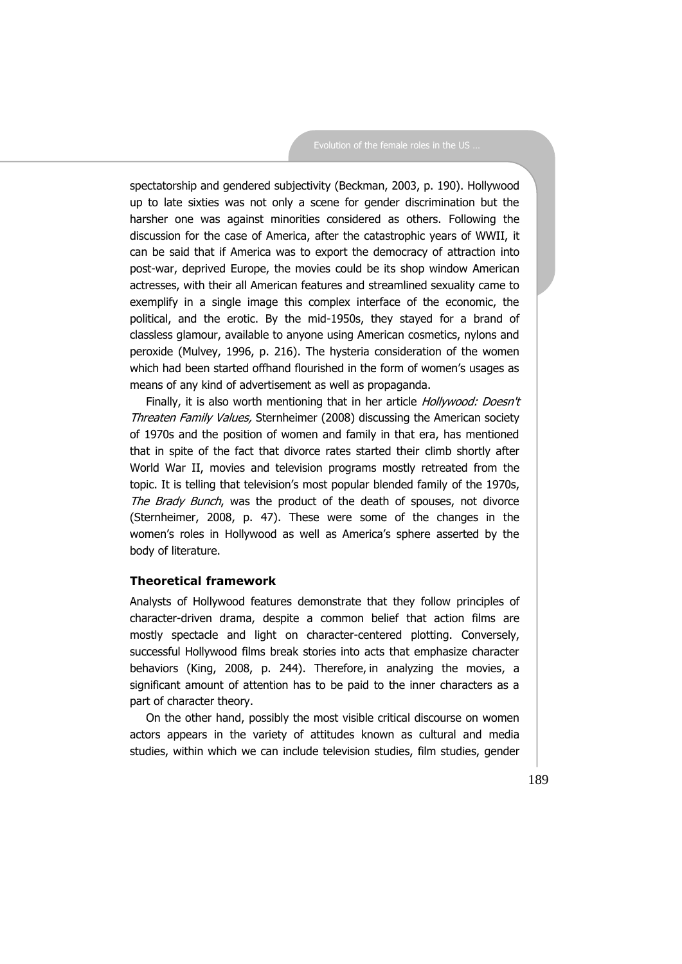spectatorship and gendered subjectivity (Beckman, 2003, p. 190). Hollywood up to late sixties was not only a scene for gender discrimination but the harsher one was against minorities considered as others. Following the discussion for the case of America, after the catastrophic years of WWII, it can be said that if America was to export the democracy of attraction into post-war, deprived Europe, the movies could be its shop window American actresses, with their all American features and streamlined sexuality came to exemplify in a single image this complex interface of the economic, the political, and the erotic. By the mid-1950s, they stayed for a brand of classless glamour, available to anyone using American cosmetics, nylons and peroxide (Mulvey, 1996, p. 216). The hysteria consideration of the women which had been started offhand flourished in the form of women's usages as means of any kind of advertisement as well as propaganda.

Finally, it is also worth mentioning that in her article *Hollywood: Doesn't* Threaten Family Values, Sternheimer (2008) discussing the American society of 1970s and the position of women and family in that era, has mentioned that in spite of the fact that divorce rates started their climb shortly after World War II, movies and television programs mostly retreated from the topic. It is telling that television's most popular blended family of the 1970s, The Brady Bunch, was the product of the death of spouses, not divorce (Sternheimer, 2008, p. 47). These were some of the changes in the women's roles in Hollywood as well as America's sphere asserted by the body of literature.

#### **Theoretical framework**

Analysts of Hollywood features demonstrate that they follow principles of character-driven drama, despite a common belief that action films are mostly spectacle and light on character-centered plotting. Conversely, successful Hollywood films break stories into acts that emphasize character behaviors (King, 2008, p. 244). Therefore, in analyzing the movies, a significant amount of attention has to be paid to the inner characters as a part of character theory.

On the other hand, possibly the most visible critical discourse on women actors appears in the variety of attitudes known as cultural and media studies, within which we can include television studies, film studies, gender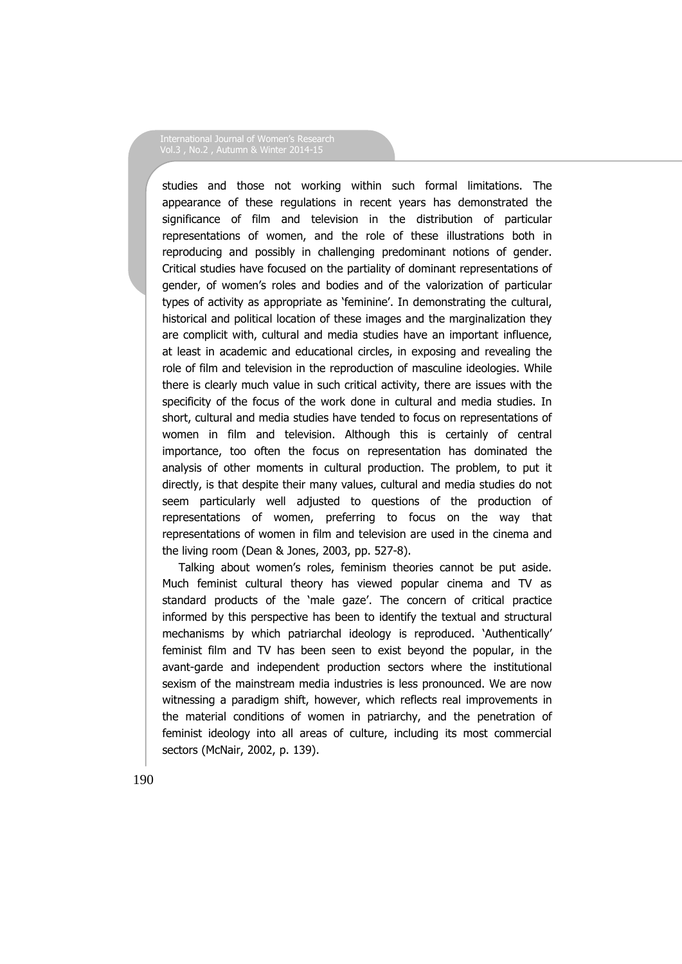studies and those not working within such formal limitations. The appearance of these regulations in recent years has demonstrated the significance of film and television in the distribution of particular representations of women, and the role of these illustrations both in reproducing and possibly in challenging predominant notions of gender. Critical studies have focused on the partiality of dominant representations of gender, of women's roles and bodies and of the valorization of particular types of activity as appropriate as 'feminine'. In demonstrating the cultural, historical and political location of these images and the marginalization they are complicit with, cultural and media studies have an important influence, at least in academic and educational circles, in exposing and revealing the role of film and television in the reproduction of masculine ideologies. While there is clearly much value in such critical activity, there are issues with the specificity of the focus of the work done in cultural and media studies. In short, cultural and media studies have tended to focus on representations of women in film and television. Although this is certainly of central importance, too often the focus on representation has dominated the analysis of other moments in cultural production. The problem, to put it directly, is that despite their many values, cultural and media studies do not seem particularly well adjusted to questions of the production of representations of women, preferring to focus on the way that representations of women in film and television are used in the cinema and the living room (Dean & Jones, 2003, pp. 527-8).

Talking about women's roles, feminism theories cannot be put aside. Much feminist cultural theory has viewed popular cinema and TV as standard products of the 'male gaze'. The concern of critical practice informed by this perspective has been to identify the textual and structural mechanisms by which patriarchal ideology is reproduced. 'Authentically' feminist film and TV has been seen to exist beyond the popular, in the avant-garde and independent production sectors where the institutional sexism of the mainstream media industries is less pronounced. We are now witnessing a paradigm shift, however, which reflects real improvements in the material conditions of women in patriarchy, and the penetration of feminist ideology into all areas of culture, including its most commercial sectors (McNair, 2002, p. 139).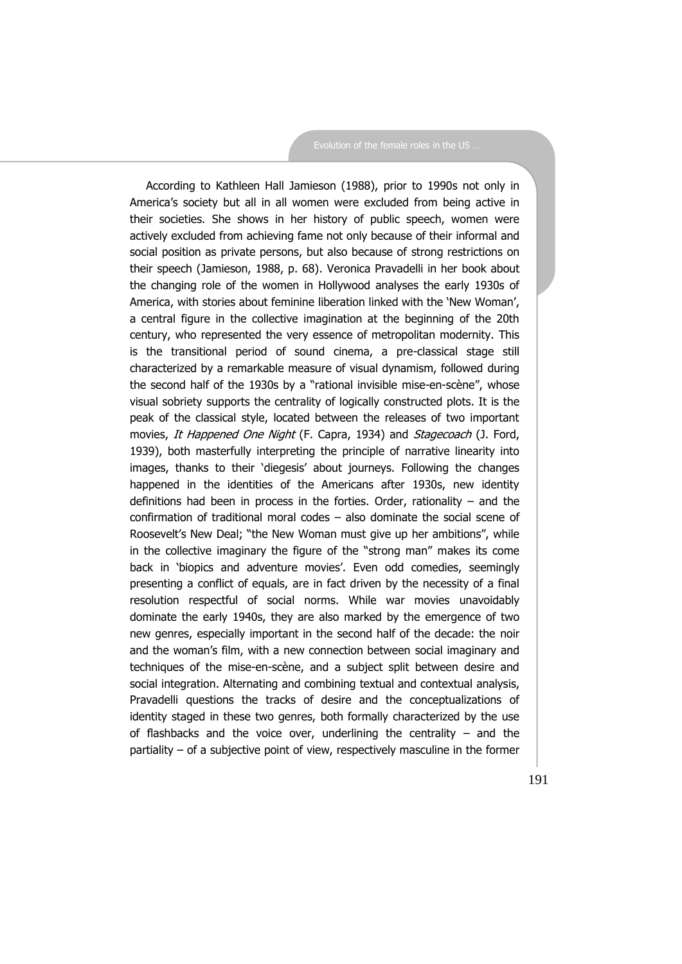According to Kathleen Hall Jamieson (1988), prior to 1990s not only in America's society but all in all women were excluded from being active in their societies. She shows in her history of public speech, women were actively excluded from achieving fame not only because of their informal and social position as private persons, but also because of strong restrictions on their speech (Jamieson, 1988, p. 68). Veronica Pravadelli in her book about the changing role of the women in Hollywood analyses the early 1930s of America, with stories about feminine liberation linked with the 'New Woman', a central figure in the collective imagination at the beginning of the 20th century, who represented the very essence of metropolitan modernity. This is the transitional period of sound cinema, a pre-classical stage still characterized by a remarkable measure of visual dynamism, followed during the second half of the 1930s by a "rational invisible mise-en-scène", whose visual sobriety supports the centrality of logically constructed plots. It is the peak of the classical style, located between the releases of two important movies, It Happened One Night (F. Capra, 1934) and Stagecoach (J. Ford, 1939), both masterfully interpreting the principle of narrative linearity into images, thanks to their 'diegesis' about journeys. Following the changes happened in the identities of the Americans after 1930s, new identity definitions had been in process in the forties. Order, rationality – and the confirmation of traditional moral codes – also dominate the social scene of Roosevelt's New Deal; "the New Woman must give up her ambitions", while in the collective imaginary the figure of the "strong man" makes its come back in 'biopics and adventure movies'. Even odd comedies, seemingly presenting a conflict of equals, are in fact driven by the necessity of a final resolution respectful of social norms. While war movies unavoidably dominate the early 1940s, they are also marked by the emergence of two new genres, especially important in the second half of the decade: the noir and the woman's film, with a new connection between social imaginary and techniques of the mise-en-scène, and a subject split between desire and social integration. Alternating and combining textual and contextual analysis, Pravadelli questions the tracks of desire and the conceptualizations of identity staged in these two genres, both formally characterized by the use of flashbacks and the voice over, underlining the centrality  $-$  and the partiality – of a subjective point of view, respectively masculine in the former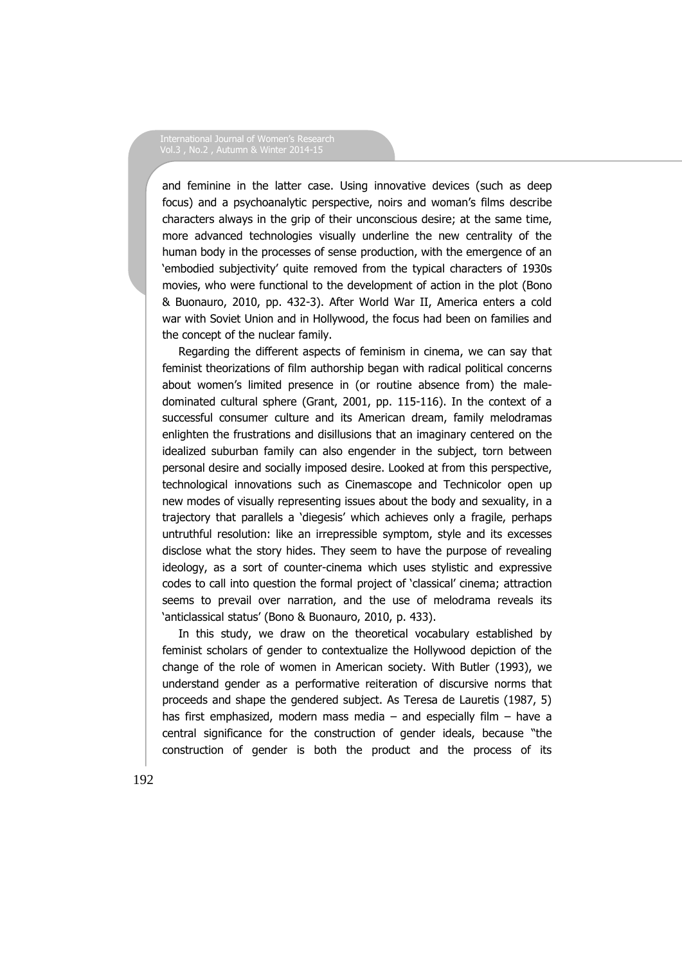and feminine in the latter case. Using innovative devices (such as deep focus) and a psychoanalytic perspective, noirs and woman's films describe characters always in the grip of their unconscious desire; at the same time, more advanced technologies visually underline the new centrality of the human body in the processes of sense production, with the emergence of an 'embodied subjectivity' quite removed from the typical characters of 1930s movies, who were functional to the development of action in the plot (Bono & Buonauro, 2010, pp. 432-3). After World War II, America enters a cold war with Soviet Union and in Hollywood, the focus had been on families and the concept of the nuclear family.

Regarding the different aspects of feminism in cinema, we can say that feminist theorizations of film authorship began with radical political concerns about women's limited presence in (or routine absence from) the maledominated cultural sphere (Grant, 2001, pp. 115-116). In the context of a successful consumer culture and its American dream, family melodramas enlighten the frustrations and disillusions that an imaginary centered on the idealized suburban family can also engender in the subject, torn between personal desire and socially imposed desire. Looked at from this perspective, technological innovations such as Cinemascope and Technicolor open up new modes of visually representing issues about the body and sexuality, in a trajectory that parallels a 'diegesis' which achieves only a fragile, perhaps untruthful resolution: like an irrepressible symptom, style and its excesses disclose what the story hides. They seem to have the purpose of revealing ideology, as a sort of counter-cinema which uses stylistic and expressive codes to call into question the formal project of 'classical' cinema; attraction seems to prevail over narration, and the use of melodrama reveals its 'anticlassical status' (Bono & Buonauro, 2010, p. 433).

In this study, we draw on the theoretical vocabulary established by feminist scholars of gender to contextualize the Hollywood depiction of the change of the role of women in American society. With Butler (1993), we understand gender as a performative reiteration of discursive norms that proceeds and shape the gendered subject. As Teresa de Lauretis (1987, 5) has first emphasized, modern mass media  $-$  and especially film  $-$  have a central significance for the construction of gender ideals, because "the construction of gender is both the product and the process of its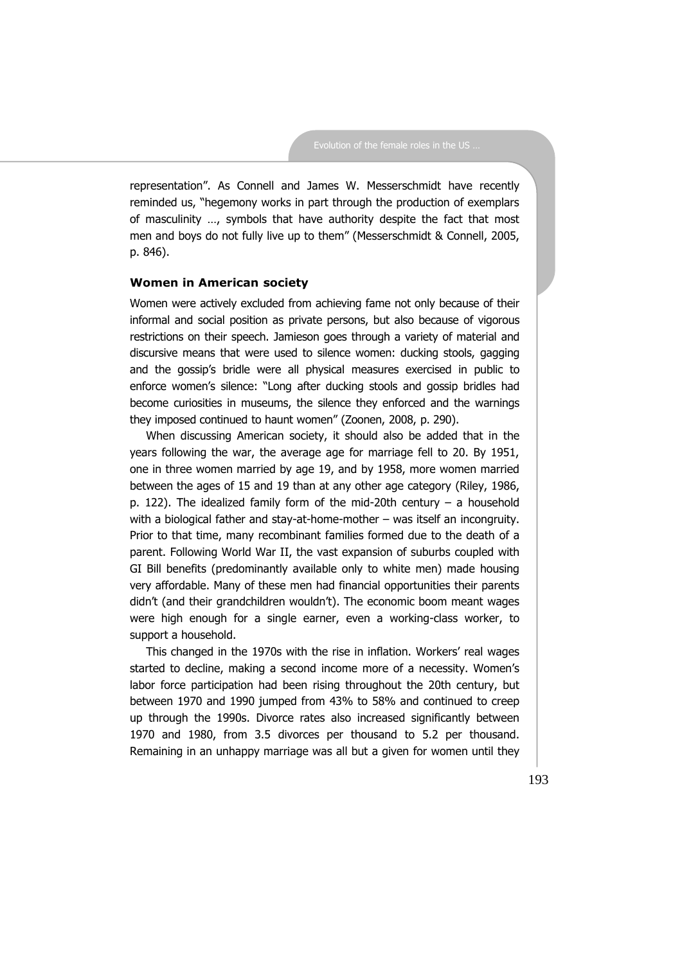representation". As Connell and James W. Messerschmidt have recently reminded us, "hegemony works in part through the production of exemplars of masculinity …, symbols that have authority despite the fact that most men and boys do not fully live up to them" (Messerschmidt & Connell, 2005, p. 846).

#### **Women in American society**

Women were actively excluded from achieving fame not only because of their informal and social position as private persons, but also because of vigorous restrictions on their speech. Jamieson goes through a variety of material and discursive means that were used to silence women: ducking stools, gagging and the gossip's bridle were all physical measures exercised in public to enforce women's silence: "Long after ducking stools and gossip bridles had become curiosities in museums, the silence they enforced and the warnings they imposed continued to haunt women" (Zoonen, 2008, p. 290).

When discussing American society, it should also be added that in the years following the war, the average age for marriage fell to 20. By 1951, one in three women married by age 19, and by 1958, more women married between the ages of 15 and 19 than at any other age category (Riley, 1986, p. 122). The idealized family form of the mid-20th century – a household with a biological father and stay-at-home-mother – was itself an incongruity. Prior to that time, many recombinant families formed due to the death of a parent. Following World War II, the vast expansion of suburbs coupled with GI Bill benefits (predominantly available only to white men) made housing very affordable. Many of these men had financial opportunities their parents didn't (and their grandchildren wouldn't). The economic boom meant wages were high enough for a single earner, even a working-class worker, to support a household.

This changed in the 1970s with the rise in inflation. Workers' real wages started to decline, making a second income more of a necessity. Women's labor force participation had been rising throughout the 20th century, but between 1970 and 1990 jumped from 43% to 58% and continued to creep up through the 1990s. Divorce rates also increased significantly between 1970 and 1980, from 3.5 divorces per thousand to 5.2 per thousand. Remaining in an unhappy marriage was all but a given for women until they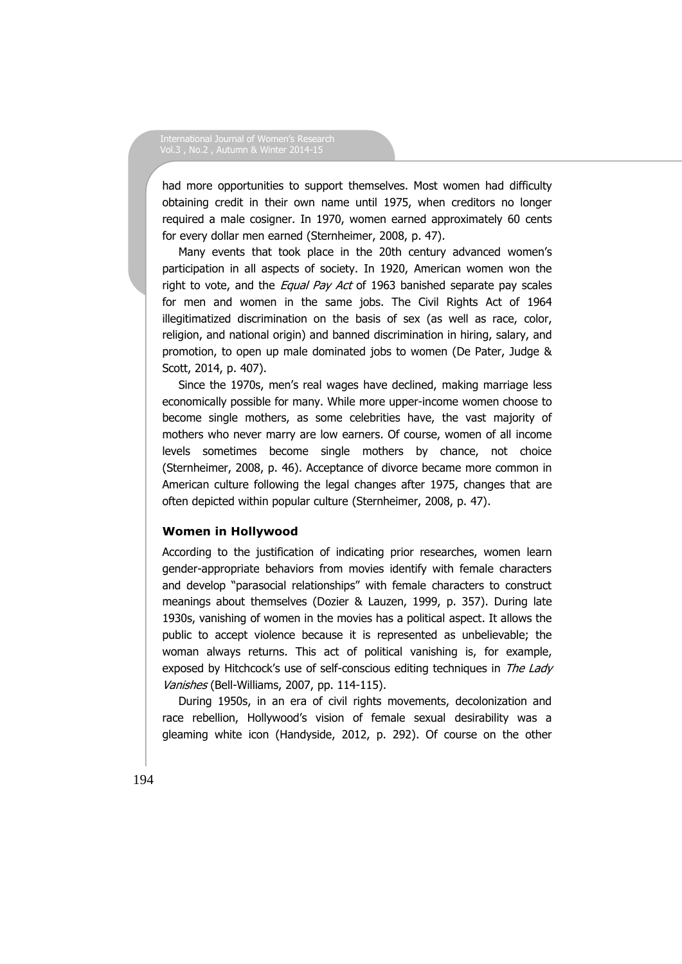had more opportunities to support themselves. Most women had difficulty obtaining credit in their own name until 1975, when creditors no longer required a male cosigner. In 1970, women earned approximately 60 cents for every dollar men earned (Sternheimer, 2008, p. 47).

Many events that took place in the 20th century advanced women's participation in all aspects of society. In 1920, American women won the right to vote, and the *Equal Pay Act* of 1963 banished separate pay scales for men and women in the same jobs. The Civil Rights Act of 1964 illegitimatized discrimination on the basis of sex (as well as race, color, religion, and national origin) and banned discrimination in hiring, salary, and promotion, to open up male dominated jobs to women (De Pater, Judge & Scott, 2014, p. 407).

Since the 1970s, men's real wages have declined, making marriage less economically possible for many. While more upper-income women choose to become single mothers, as some celebrities have, the vast majority of mothers who never marry are low earners. Of course, women of all income levels sometimes become single mothers by chance, not choice (Sternheimer, 2008, p. 46). Acceptance of divorce became more common in American culture following the legal changes after 1975, changes that are often depicted within popular culture (Sternheimer, 2008, p. 47).

## **Women in Hollywood**

According to the justification of indicating prior researches, women learn gender-appropriate behaviors from movies identify with female characters and develop "parasocial relationships" with female characters to construct meanings about themselves (Dozier & Lauzen, 1999, p. 357). During late 1930s, vanishing of women in the movies has a political aspect. It allows the public to accept violence because it is represented as unbelievable; the woman always returns. This act of political vanishing is, for example, exposed by Hitchcock's use of self-conscious editing techniques in The Lady Vanishes (Bell-Williams, 2007, pp. 114-115).

During 1950s, in an era of civil rights movements, decolonization and race rebellion, Hollywood's vision of female sexual desirability was a gleaming white icon (Handyside, 2012, p. 292). Of course on the other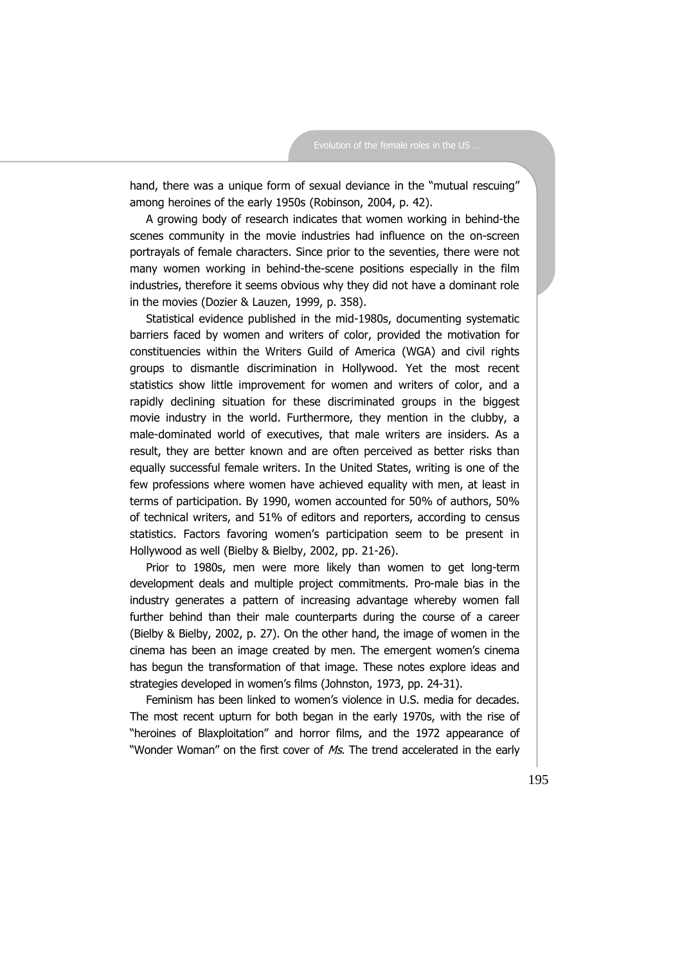hand, there was a unique form of sexual deviance in the "mutual rescuing" among heroines of the early 1950s (Robinson, 2004, p. 42).

A growing body of research indicates that women working in behind-the scenes community in the movie industries had influence on the on-screen portrayals of female characters. Since prior to the seventies, there were not many women working in behind-the-scene positions especially in the film industries, therefore it seems obvious why they did not have a dominant role in the movies (Dozier & Lauzen, 1999, p. 358).

Statistical evidence published in the mid-1980s, documenting systematic barriers faced by women and writers of color, provided the motivation for constituencies within the Writers Guild of America (WGA) and civil rights groups to dismantle discrimination in Hollywood. Yet the most recent statistics show little improvement for women and writers of color, and a rapidly declining situation for these discriminated groups in the biggest movie industry in the world. Furthermore, they mention in the clubby, a male-dominated world of executives, that male writers are insiders. As a result, they are better known and are often perceived as better risks than equally successful female writers. In the United States, writing is one of the few professions where women have achieved equality with men, at least in terms of participation. By 1990, women accounted for 50% of authors, 50% of technical writers, and 51% of editors and reporters, according to census statistics. Factors favoring women's participation seem to be present in Hollywood as well (Bielby & Bielby, 2002, pp. 21-26).

Prior to 1980s, men were more likely than women to get long-term development deals and multiple project commitments. Pro-male bias in the industry generates a pattern of increasing advantage whereby women fall further behind than their male counterparts during the course of a career (Bielby & Bielby, 2002, p. 27). On the other hand, the image of women in the cinema has been an image created by men. The emergent women's cinema has begun the transformation of that image. These notes explore ideas and strategies developed in women's films (Johnston, 1973, pp. 24-31).

Feminism has been linked to women's violence in U.S. media for decades. The most recent upturn for both began in the early 1970s, with the rise of "heroines of Blaxploitation" and horror films, and the 1972 appearance of "Wonder Woman" on the first cover of Ms. The trend accelerated in the early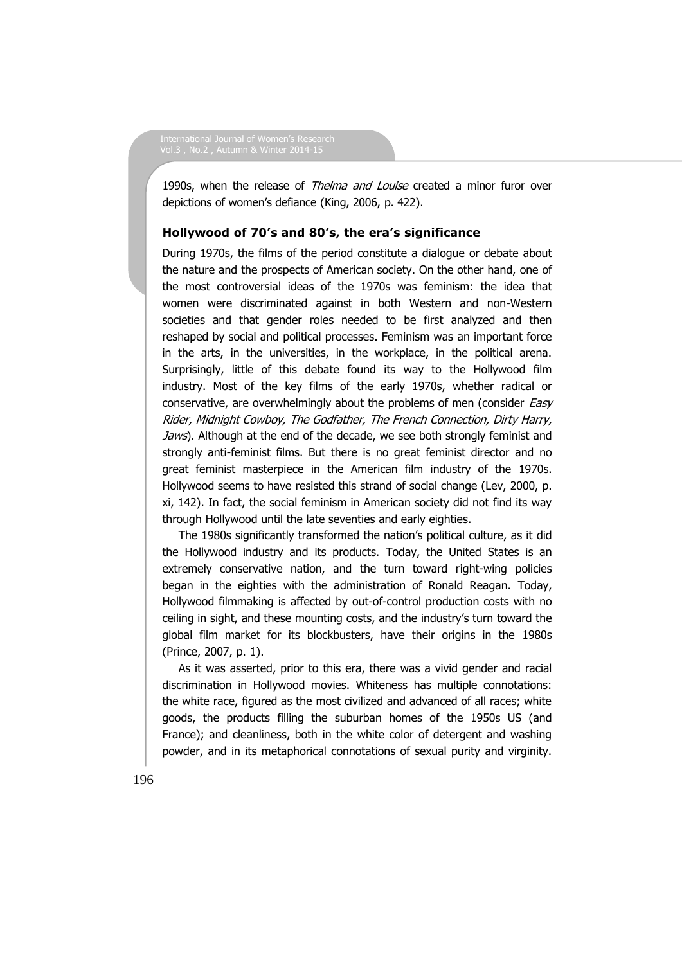1990s, when the release of *Thelma and Louise* created a minor furor over depictions of women's defiance (King, 2006, p. 422).

## **Hollywood of 70's and 80's, the era's significance**

During 1970s, the films of the period constitute a dialogue or debate about the nature and the prospects of American society. On the other hand, one of the most controversial ideas of the 1970s was feminism: the idea that women were discriminated against in both Western and non-Western societies and that gender roles needed to be first analyzed and then reshaped by social and political processes. Feminism was an important force in the arts, in the universities, in the workplace, in the political arena. Surprisingly, little of this debate found its way to the Hollywood film industry. Most of the key films of the early 1970s, whether radical or conservative, are overwhelmingly about the problems of men (consider *Easy* Rider, Midnight Cowboy, The Godfather, The French Connection, Dirty Harry, Jaws). Although at the end of the decade, we see both strongly feminist and strongly anti-feminist films. But there is no great feminist director and no great feminist masterpiece in the American film industry of the 1970s. Hollywood seems to have resisted this strand of social change (Lev, 2000, p. xi, 142). In fact, the social feminism in American society did not find its way through Hollywood until the late seventies and early eighties.

The 1980s significantly transformed the nation's political culture, as it did the Hollywood industry and its products. Today, the United States is an extremely conservative nation, and the turn toward right-wing policies began in the eighties with the administration of Ronald Reagan. Today, Hollywood filmmaking is affected by out-of-control production costs with no ceiling in sight, and these mounting costs, and the industry's turn toward the global film market for its blockbusters, have their origins in the 1980s (Prince, 2007, p. 1).

As it was asserted, prior to this era, there was a vivid gender and racial discrimination in Hollywood movies. Whiteness has multiple connotations: the white race, figured as the most civilized and advanced of all races; white goods, the products filling the suburban homes of the 1950s US (and France); and cleanliness, both in the white color of detergent and washing powder, and in its metaphorical connotations of sexual purity and virginity.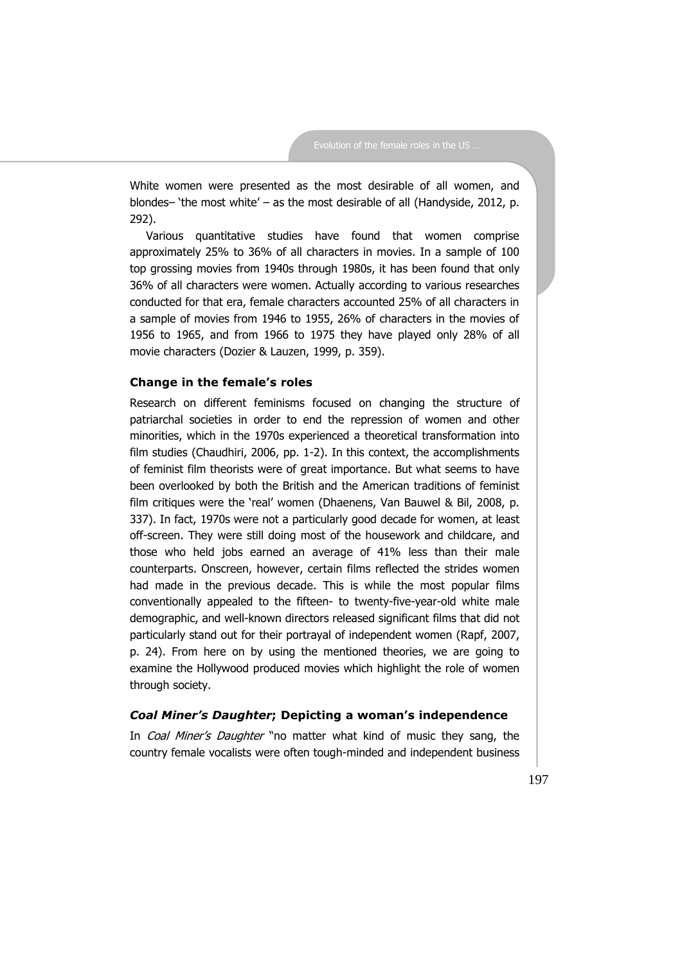White women were presented as the most desirable of all women, and blondes– 'the most white' – as the most desirable of all (Handyside, 2012, p. 292).

Various quantitative studies have found that women comprise approximately 25% to 36% of all characters in movies. In a sample of 100 top grossing movies from 1940s through 1980s, it has been found that only 36% of all characters were women. Actually according to various researches conducted for that era, female characters accounted 25% of all characters in a sample of movies from 1946 to 1955, 26% of characters in the movies of 1956 to 1965, and from 1966 to 1975 they have played only 28% of all movie characters (Dozier & Lauzen, 1999, p. 359).

### **Change in the female's roles**

Research on different feminisms focused on changing the structure of patriarchal societies in order to end the repression of women and other minorities, which in the 1970s experienced a theoretical transformation into film studies (Chaudhiri, 2006, pp. 1-2). In this context, the accomplishments of feminist film theorists were of great importance. But what seems to have been overlooked by both the British and the American traditions of feminist film critiques were the 'real' women (Dhaenens, Van Bauwel & Bil, 2008, p. 337). In fact, 1970s were not a particularly good decade for women, at least off-screen. They were still doing most of the housework and childcare, and those who held jobs earned an average of 41% less than their male counterparts. Onscreen, however, certain films reflected the strides women had made in the previous decade. This is while the most popular films conventionally appealed to the fifteen- to twenty-five-year-old white male demographic, and well-known directors released significant films that did not particularly stand out for their portrayal of independent women (Rapf, 2007, p. 24). From here on by using the mentioned theories, we are going to examine the Hollywood produced movies which highlight the role of women through society.

### *Coal Miner's Daughter***; Depicting a woman's independence**

In *Coal Miner's Daughter* "no matter what kind of music they sang, the country female vocalists were often tough-minded and independent business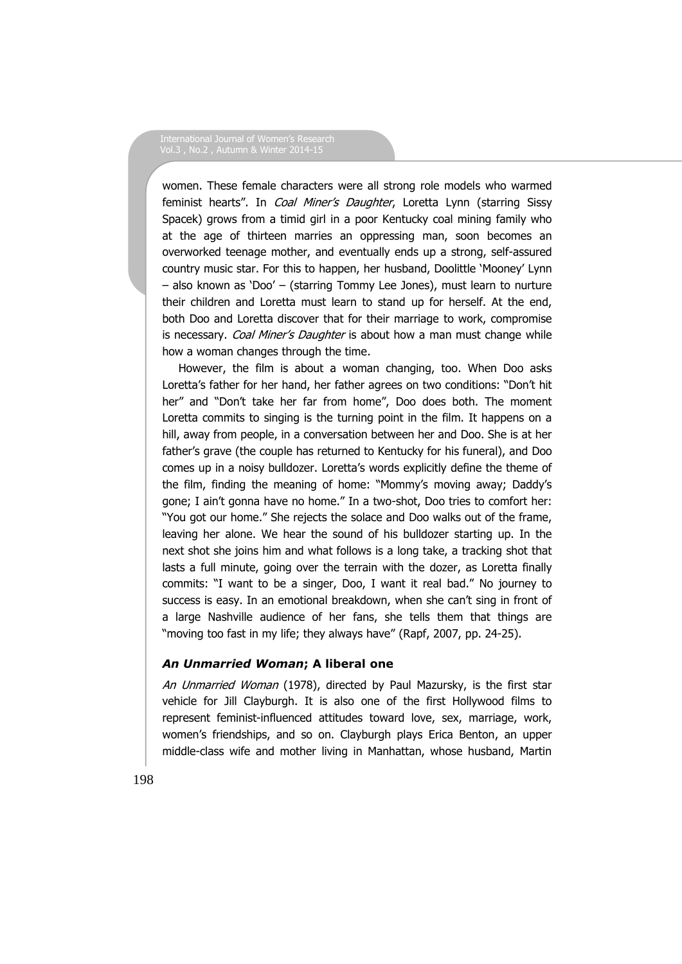women. These female characters were all strong role models who warmed feminist hearts". In *Coal Miner's Daughter*, Loretta Lynn (starring Sissy Spacek) grows from a timid girl in a poor Kentucky coal mining family who at the age of thirteen marries an oppressing man, soon becomes an overworked teenage mother, and eventually ends up a strong, self-assured country music star. For this to happen, her husband, Doolittle 'Mooney' Lynn – also known as 'Doo' – (starring Tommy Lee Jones), must learn to nurture their children and Loretta must learn to stand up for herself. At the end, both Doo and Loretta discover that for their marriage to work, compromise is necessary. *Coal Miner's Daughter* is about how a man must change while how a woman changes through the time.

However, the film is about a woman changing, too. When Doo asks Loretta's father for her hand, her father agrees on two conditions: "Don't hit her" and "Don't take her far from home", Doo does both. The moment Loretta commits to singing is the turning point in the film. It happens on a hill, away from people, in a conversation between her and Doo. She is at her father's grave (the couple has returned to Kentucky for his funeral), and Doo comes up in a noisy bulldozer. Loretta's words explicitly define the theme of the film, finding the meaning of home: "Mommy's moving away; Daddy's gone; I ain't gonna have no home." In a two-shot, Doo tries to comfort her: "You got our home." She rejects the solace and Doo walks out of the frame, leaving her alone. We hear the sound of his bulldozer starting up. In the next shot she joins him and what follows is a long take, a tracking shot that lasts a full minute, going over the terrain with the dozer, as Loretta finally commits: "I want to be a singer, Doo, I want it real bad." No journey to success is easy. In an emotional breakdown, when she can't sing in front of a large Nashville audience of her fans, she tells them that things are "moving too fast in my life; they always have" (Rapf, 2007, pp. 24-25).

## *An Unmarried Woman***; A liberal one**

An Unmarried Woman (1978), directed by Paul Mazursky, is the first star vehicle for Jill Clayburgh. It is also one of the first Hollywood films to represent feminist-influenced attitudes toward love, sex, marriage, work, women's friendships, and so on. Clayburgh plays Erica Benton, an upper middle-class wife and mother living in Manhattan, whose husband, Martin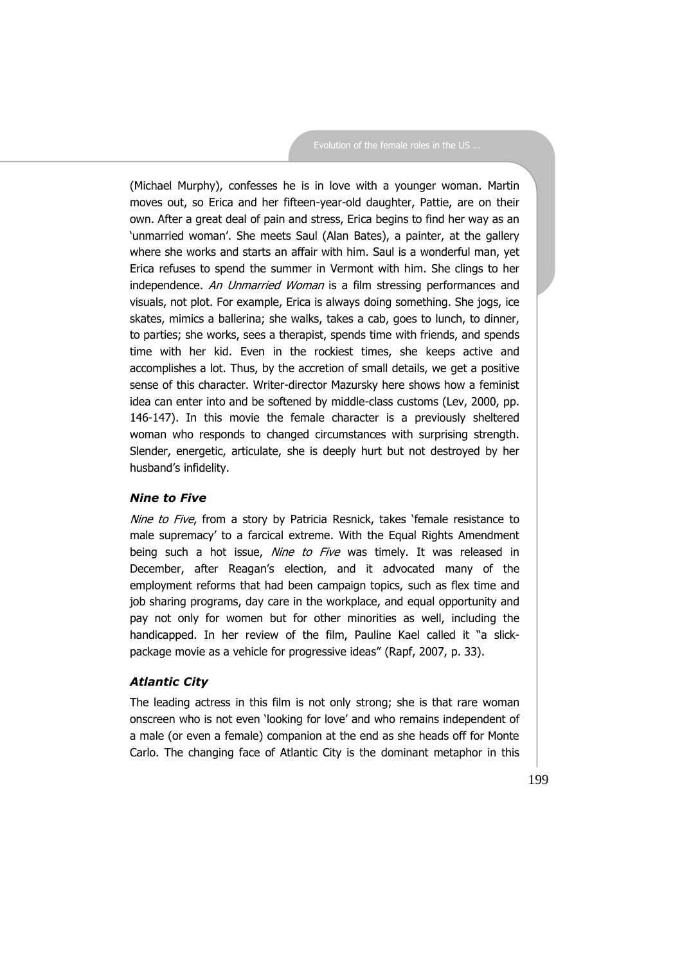(Michael Murphy), confesses he is in love with a younger woman. Martin moves out, so Erica and her fifteen-year-old daughter, Pattie, are on their own. After a great deal of pain and stress, Erica begins to find her way as an 'unmarried woman'. She meets Saul (Alan Bates), a painter, at the gallery where she works and starts an affair with him. Saul is a wonderful man, yet Erica refuses to spend the summer in Vermont with him. She clings to her independence. An Unmarried Woman is a film stressing performances and visuals, not plot. For example, Erica is always doing something. She jogs, ice skates, mimics a ballerina; she walks, takes a cab, goes to lunch, to dinner, to parties; she works, sees a therapist, spends time with friends, and spends time with her kid. Even in the rockiest times, she keeps active and accomplishes a lot. Thus, by the accretion of small details, we get a positive sense of this character. Writer-director Mazursky here shows how a feminist idea can enter into and be softened by middle-class customs (Lev, 2000, pp. 146-147). In this movie the female character is a previously sheltered woman who responds to changed circumstances with surprising strength. Slender, energetic, articulate, she is deeply hurt but not destroyed by her husband's infidelity.

#### *Nine to Five*

Nine to Five, from a story by Patricia Resnick, takes 'female resistance to male supremacy' to a farcical extreme. With the Equal Rights Amendment being such a hot issue, Nine to Five was timely. It was released in December, after Reagan's election, and it advocated many of the employment reforms that had been campaign topics, such as flex time and job sharing programs, day care in the workplace, and equal opportunity and pay not only for women but for other minorities as well, including the handicapped. In her review of the film, Pauline Kael called it "a slickpackage movie as a vehicle for progressive ideas" (Rapf, 2007, p. 33).

# *Atlantic City*

The leading actress in this film is not only strong; she is that rare woman onscreen who is not even 'looking for love' and who remains independent of a male (or even a female) companion at the end as she heads off for Monte Carlo. The changing face of Atlantic City is the dominant metaphor in this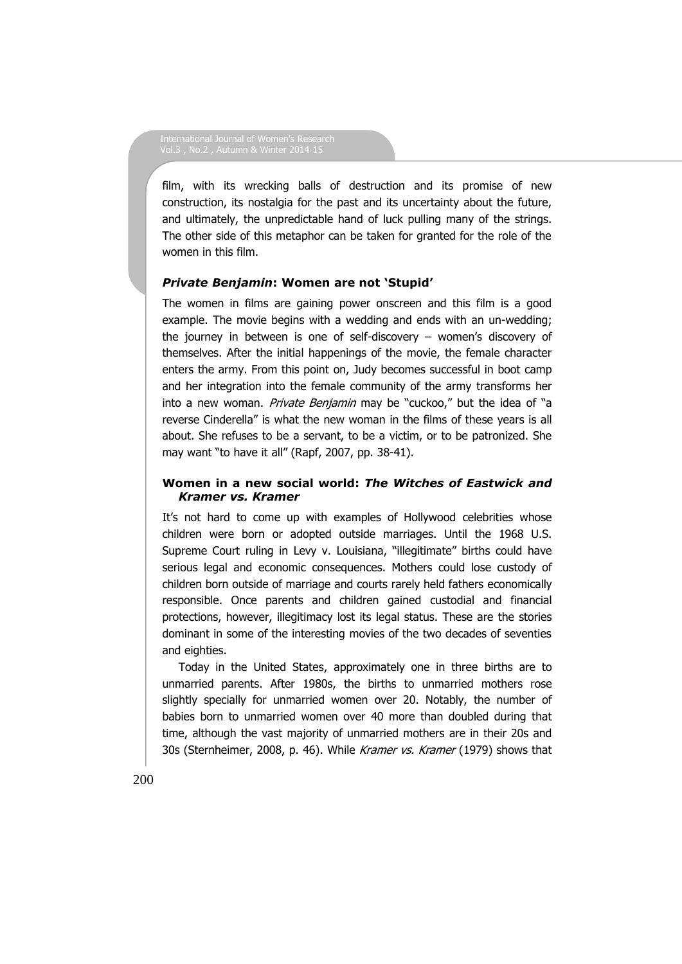film, with its wrecking balls of destruction and its promise of new construction, its nostalgia for the past and its uncertainty about the future, and ultimately, the unpredictable hand of luck pulling many of the strings. The other side of this metaphor can be taken for granted for the role of the women in this film.

## *Private Benjamin***: Women are not 'Stupid'**

The women in films are gaining power onscreen and this film is a good example. The movie begins with a wedding and ends with an un-wedding; the journey in between is one of self-discovery – women's discovery of themselves. After the initial happenings of the movie, the female character enters the army. From this point on, Judy becomes successful in boot camp and her integration into the female community of the army transforms her into a new woman. Private Benjamin may be "cuckoo," but the idea of "a reverse Cinderella" is what the new woman in the films of these years is all about. She refuses to be a servant, to be a victim, or to be patronized. She may want "to have it all" (Rapf, 2007, pp. 38-41).

## **Women in a new social world:** *The Witches of Eastwick and Kramer vs. Kramer*

It's not hard to come up with examples of Hollywood celebrities whose children were born or adopted outside marriages. Until the 1968 U.S. Supreme Court ruling in Levy v. Louisiana, "illegitimate" births could have serious legal and economic consequences. Mothers could lose custody of children born outside of marriage and courts rarely held fathers economically responsible. Once parents and children gained custodial and financial protections, however, illegitimacy lost its legal status. These are the stories dominant in some of the interesting movies of the two decades of seventies and eighties.

Today in the United States, approximately one in three births are to unmarried parents. After 1980s, the births to unmarried mothers rose slightly specially for unmarried women over 20. Notably, the number of babies born to unmarried women over 40 more than doubled during that time, although the vast majority of unmarried mothers are in their 20s and 30s (Sternheimer, 2008, p. 46). While Kramer vs. Kramer (1979) shows that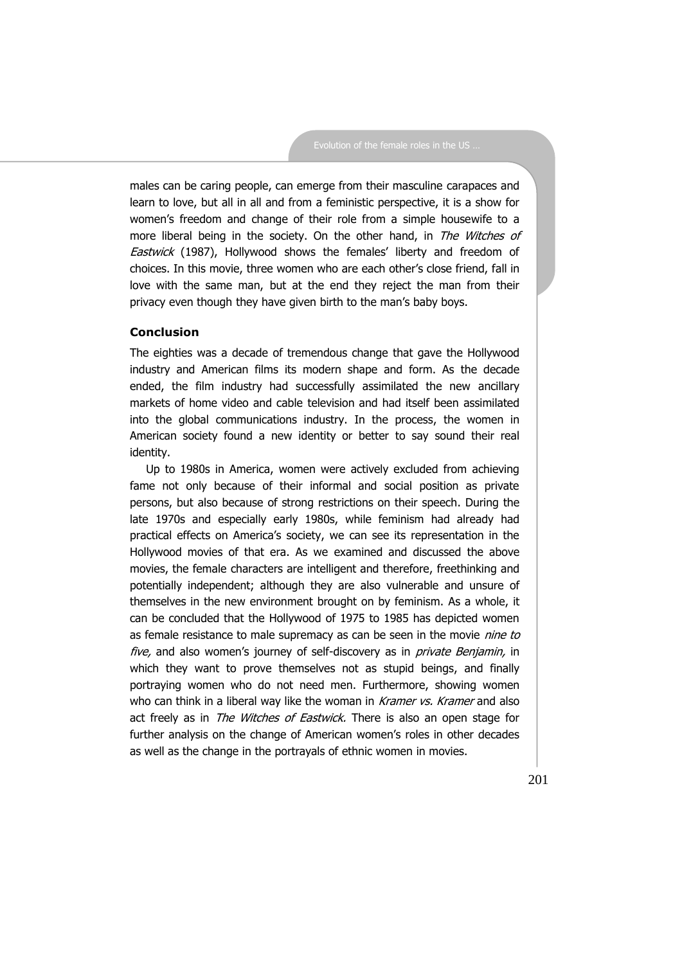males can be caring people, can emerge from their masculine carapaces and learn to love, but all in all and from a feministic perspective, it is a show for women's freedom and change of their role from a simple housewife to a more liberal being in the society. On the other hand, in The Witches of Eastwick (1987), Hollywood shows the females' liberty and freedom of choices. In this movie, three women who are each other's close friend, fall in love with the same man, but at the end they reject the man from their privacy even though they have given birth to the man's baby boys.

## **Conclusion**

The eighties was a decade of tremendous change that gave the Hollywood industry and American films its modern shape and form. As the decade ended, the film industry had successfully assimilated the new ancillary markets of home video and cable television and had itself been assimilated into the global communications industry. In the process, the women in American society found a new identity or better to say sound their real identity.

Up to 1980s in America, women were actively excluded from achieving fame not only because of their informal and social position as private persons, but also because of strong restrictions on their speech. During the late 1970s and especially early 1980s, while feminism had already had practical effects on America's society, we can see its representation in the Hollywood movies of that era. As we examined and discussed the above movies, the female characters are intelligent and therefore, freethinking and potentially independent; although they are also vulnerable and unsure of themselves in the new environment brought on by feminism. As a whole, it can be concluded that the Hollywood of 1975 to 1985 has depicted women as female resistance to male supremacy as can be seen in the movie *nine to* five, and also women's journey of self-discovery as in *private Benjamin*, in which they want to prove themselves not as stupid beings, and finally portraying women who do not need men. Furthermore, showing women who can think in a liberal way like the woman in Kramer vs. Kramer and also act freely as in *The Witches of Eastwick*. There is also an open stage for further analysis on the change of American women's roles in other decades as well as the change in the portrayals of ethnic women in movies.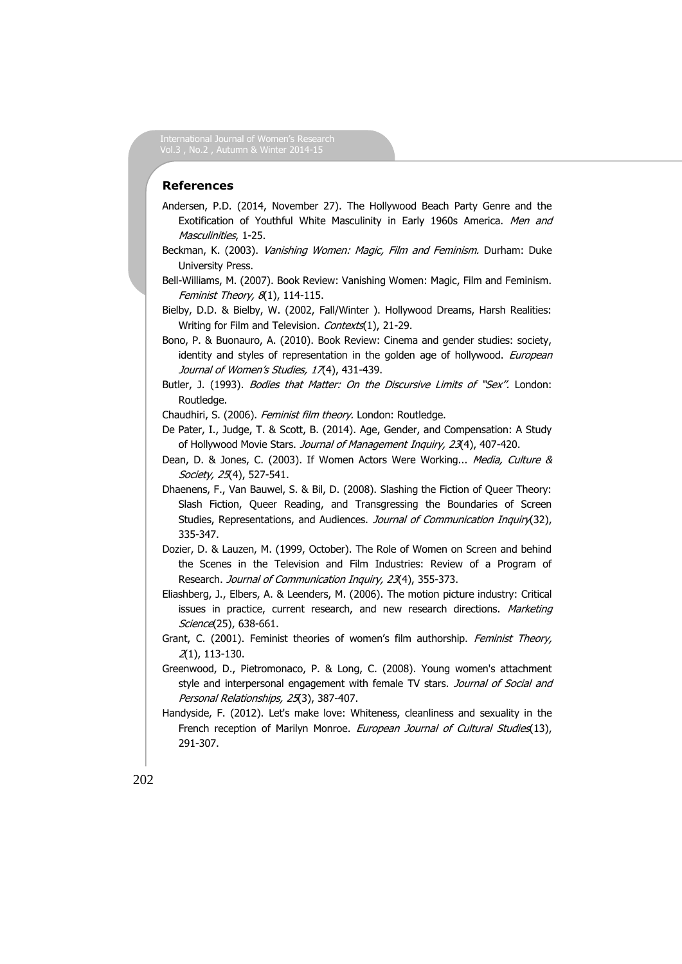#### **References**

- Andersen, P.D. (2014, November 27). The Hollywood Beach Party Genre and the Exotification of Youthful White Masculinity in Early 1960s America. Men and Masculinities, 1-25.
- Beckman, K. (2003). *Vanishing Women: Magic, Film and Feminism*, Durham: Duke University Press.
- Bell-Williams, M. (2007). Book Review: Vanishing Women: Magic, Film and Feminism. Feminist Theory, 8(1), 114-115.
- Bielby, D.D. & Bielby, W. (2002, Fall/Winter ). Hollywood Dreams, Harsh Realities: Writing for Film and Television. Contexts(1), 21-29.
- Bono, P. & Buonauro, A. (2010). Book Review: Cinema and gender studies: society, identity and styles of representation in the golden age of hollywood. European Journal of Women's Studies, 17(4), 431-439.
- Butler, J. (1993). *Bodies that Matter: On the Discursive Limits of "Sex"*. London: Routledge.

Chaudhiri, S. (2006). Feminist film theory. London: Routledge.

- De Pater, I., Judge, T. & Scott, B. (2014). Age, Gender, and Compensation: A Study of Hollywood Movie Stars. Journal of Management Inquiry, 23(4), 407-420.
- Dean, D. & Jones, C. (2003). If Women Actors Were Working... Media, Culture & Society, 25(4), 527-541.
- Dhaenens, F., Van Bauwel, S. & Bil, D. (2008). Slashing the Fiction of Queer Theory: Slash Fiction, Queer Reading, and Transgressing the Boundaries of Screen Studies, Representations, and Audiences. Journal of Communication Inquiry(32), 335-347.
- Dozier, D. & Lauzen, M. (1999, October). The Role of Women on Screen and behind the Scenes in the Television and Film Industries: Review of a Program of Research. Journal of Communication Inquiry, 23(4), 355-373.
- Eliashberg, J., Elbers, A. & Leenders, M. (2006). The motion picture industry: Critical issues in practice, current research, and new research directions. Marketing Science(25), 638-661.
- Grant, C. (2001). Feminist theories of women's film authorship. Feminist Theory, 2(1), 113-130.
- Greenwood, D., Pietromonaco, P. & Long, C. (2008). Young women's attachment style and interpersonal engagement with female TV stars. Journal of Social and Personal Relationships, 25(3), 387-407.
- Handyside, F. (2012). Let's make love: Whiteness, cleanliness and sexuality in the French reception of Marilyn Monroe. European Journal of Cultural Studies(13), 291-307.